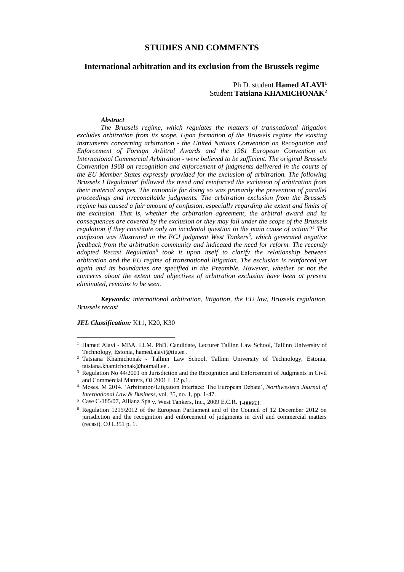# **STUDIES AND COMMENTS**

# **International arbitration and its exclusion from the Brussels regime**

Ph D. student **Hamed ALAVI<sup>1</sup>** Student **Tatsiana KHAMICHONAK<sup>2</sup>**

#### *Abstract*

*The Brussels regime, which regulates the matters of transnational litigation excludes arbitration from its scope. Upon formation of the Brussels regime the existing instruments concerning arbitration - the United Nations Convention on Recognition and Enforcement of Foreign Arbitral Awards and the 1961 European Convention on International Commercial Arbitration - were believed to be sufficient. The original Brussels Convention 1968 on recognition and enforcement of judgments delivered in the courts of the EU Member States expressly provided for the exclusion of arbitration. The following Brussels I Regulation<sup>3</sup> followed the trend and reinforced the exclusion of arbitration from their material scopes. The rationale for doing so was primarily the prevention of parallel proceedings and irreconcilable judgments. The arbitration exclusion from the Brussels regime has caused a fair amount of confusion, especially regarding the extent and limits of the exclusion. That is, whether the arbitration agreement, the arbitral award and its consequences are covered by the exclusion or they may fall under the scope of the Brussels regulation if they constitute only an incidental question to the main cause of action?<sup>4</sup> The confusion was illustrated in the ECJ judgment West Tankers<sup>5</sup> , which generated negative feedback from the arbitration community and indicated the need for reform. The recently*  adopted Recast Regulation<sup>6</sup> took it upon itself to clarify the relationship between *arbitration and the EU regime of transnational litigation. The exclusion is reinforced yet again and its boundaries are specified in the Preamble. However, whether or not the concerns about the extent and objectives of arbitration exclusion have been at present eliminated, remains to be seen.*

*Keywords: international arbitration, litigation, the EU law, Brussels regulation, Brussels recast*

*JEL Classification:* K11, K20, K30

<sup>&</sup>lt;sup>1</sup> Hamed Alavi - MBA. LLM. PhD. Candidate, Lecturer Tallinn Law School, Tallinn University of Technology, Estonia, hamed.alavi@ttu.ee .

<sup>2</sup> Tatsiana Khamichonak - Tallinn Law School, Tallinn University of Technology, Estonia, tatsiana.khamichonak@hotmail.ee .

<sup>&</sup>lt;sup>3</sup> Regulation No 44/2001 on Jurisdiction and the Recognition and Enforcement of Judgments in Civil and Commercial Matters, OJ 2001 L 12 p.1.

<sup>4</sup> Moses, M 2014, 'Arbitration/Litigation Interface: The European Debate', *Northwestern Journal of International Law & Business*, vol. 35, no. 1, pp. 1-47.

<sup>5</sup> Case C-185/07, Allianz Spa v. West Tankers, Inc., 2009 E.C.R. 1-00663.

<sup>6</sup> Regulation 1215/2012 of the European Parliament and of the Council of 12 December 2012 on jurisdiction and the recognition and enforcement of judgments in civil and commercial matters (recast), OJ L351 p. 1.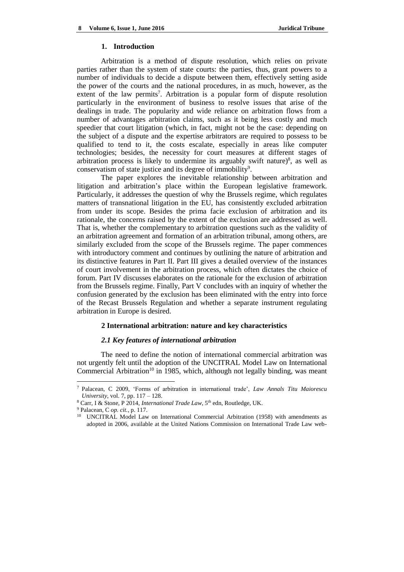#### **1. Introduction**

Arbitration is a method of dispute resolution, which relies on private parties rather than the system of state courts: the parties, thus, grant powers to a number of individuals to decide a dispute between them, effectively setting aside the power of the courts and the national procedures, in as much, however, as the extent of the law permits<sup>7</sup>. Arbitration is a popular form of dispute resolution particularly in the environment of business to resolve issues that arise of the dealings in trade. The popularity and wide reliance on arbitration flows from a number of advantages arbitration claims, such as it being less costly and much speedier that court litigation (which, in fact, might not be the case: depending on the subject of a dispute and the expertise arbitrators are required to possess to be qualified to tend to it, the costs escalate, especially in areas like computer technologies; besides, the necessity for court measures at different stages of arbitration process is likely to undermine its arguably swift nature)<sup>8</sup>, as well as conservatism of state justice and its degree of immobility<sup>9</sup>.

The paper explores the inevitable relationship between arbitration and litigation and arbitration's place within the European legislative framework. Particularly, it addresses the question of why the Brussels regime, which regulates matters of transnational litigation in the EU, has consistently excluded arbitration from under its scope. Besides the prima facie exclusion of arbitration and its rationale, the concerns raised by the extent of the exclusion are addressed as well. That is, whether the complementary to arbitration questions such as the validity of an arbitration agreement and formation of an arbitration tribunal, among others, are similarly excluded from the scope of the Brussels regime. The paper commences with introductory comment and continues by outlining the nature of arbitration and its distinctive features in Part II. Part III gives a detailed overview of the instances of court involvement in the arbitration process, which often dictates the choice of forum. Part IV discusses elaborates on the rationale for the exclusion of arbitration from the Brussels regime. Finally, Part V concludes with an inquiry of whether the confusion generated by the exclusion has been eliminated with the entry into force of the Recast Brussels Regulation and whether a separate instrument regulating arbitration in Europe is desired.

## **2 International arbitration: nature and key characteristics**

#### *2.1 Key features of international arbitration*

The need to define the notion of international commercial arbitration was not urgently felt until the adoption of the UNCITRAL Model Law on International Commercial Arbitration<sup>10</sup> in 1985, which, although not legally binding, was meant

<sup>7</sup> Palacean, C 2009, 'Forms of arbitration in international trade', *Law Annals Titu Maiorescu University*, vol. 7, pp. 117 – 128.

<sup>&</sup>lt;sup>8</sup> Carr, I & Stone, P 2014, *International Trade Law*, 5<sup>th</sup> edn, Routledge, UK.

<sup>9</sup> Palacean, C *op. cit.*, p. 117.

<sup>&</sup>lt;sup>10</sup> UNCITRAL Model Law on International Commercial Arbitration (1958) with amendments as adopted in 2006, available at the United Nations Commission on International Trade Law web-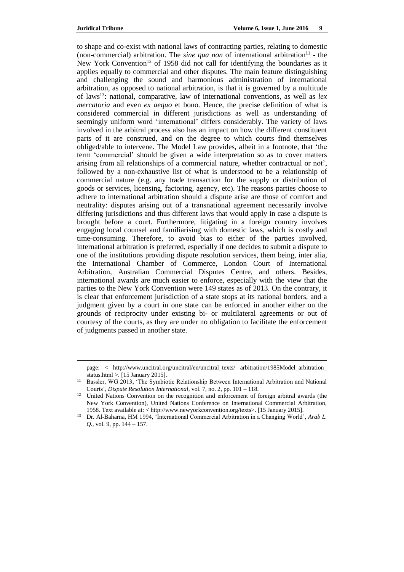$\overline{\phantom{a}}$ 

to shape and co-exist with national laws of contracting parties, relating to domestic (non-commercial) arbitration. The *sine qua non* of international arbitration<sup>11</sup> - the New York Convention<sup>12</sup> of 1958 did not call for identifying the boundaries as it applies equally to commercial and other disputes. The main feature distinguishing and challenging the sound and harmonious administration of international arbitration, as opposed to national arbitration, is that it is governed by a multitude of laws<sup>13</sup>: national, comparative, law of international conventions, as well as *lex mercatoria* and even *ex aequo* et bono. Hence, the precise definition of what is considered commercial in different jurisdictions as well as understanding of seemingly uniform word 'international' differs considerably. The variety of laws involved in the arbitral process also has an impact on how the different constituent parts of it are construed, and on the degree to which courts find themselves obliged/able to intervene. The Model Law provides, albeit in a footnote, that 'the term 'commercial' should be given a wide interpretation so as to cover matters arising from all relationships of a commercial nature, whether contractual or not', followed by a non-exhaustive list of what is understood to be a relationship of commercial nature (e.g. any trade transaction for the supply or distribution of goods or services, licensing, factoring, agency, etc). The reasons parties choose to adhere to international arbitration should a dispute arise are those of comfort and neutrality: disputes arising out of a transnational agreement necessarily involve differing jurisdictions and thus different laws that would apply in case a dispute is brought before a court. Furthermore, litigating in a foreign country involves engaging local counsel and familiarising with domestic laws, which is costly and time-consuming. Therefore, to avoid bias to either of the parties involved, international arbitration is preferred, especially if one decides to submit a dispute to one of the institutions providing dispute resolution services, them being, inter alia, the International Chamber of Commerce, London Court of International Arbitration, Australian Commercial Disputes Centre, and others. Besides, international awards are much easier to enforce, especially with the view that the parties to the New York Convention were 149 states as of 2013. On the contrary, it is clear that enforcement jurisdiction of a state stops at its national borders, and a judgment given by a court in one state can be enforced in another either on the grounds of reciprocity under existing bi- or multilateral agreements or out of courtesy of the courts, as they are under no obligation to facilitate the enforcement of judgments passed in another state.

page: < http://www.uncitral.org/uncitral/en/uncitral\_texts/ arbitration/1985Model\_arbitration\_ status.html >. [15 January 2015].

<sup>&</sup>lt;sup>11</sup> Bassler, WG 2013, 'The Symbiotic Relationship Between International Arbitration and National Courts', *Dispute Resolution International*, vol. 7, no. 2, pp. 101 – 118.

<sup>&</sup>lt;sup>12</sup> United Nations Convention on the recognition and enforcement of foreign arbitral awards (the New York Convention), United Nations Conference on International Commercial Arbitration, 1958. Text available at: < http://www.newyorkconvention.org/texts>. [15 January 2015].

<sup>13</sup> Dr. Al-Baharna, HM 1994, 'International Commercial Arbitration in a Changing World', *Arab L. Q*., vol. 9, pp. 144 – 157.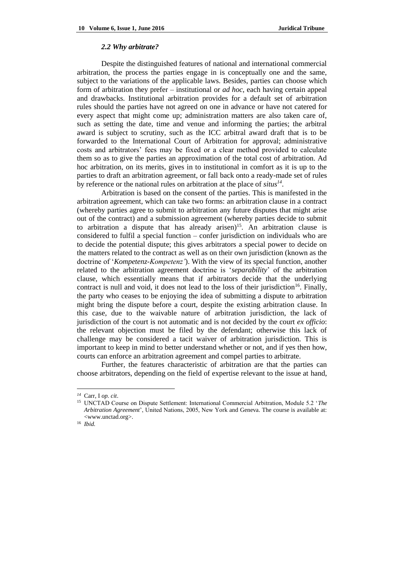#### *2.2 Why arbitrate?*

Despite the distinguished features of national and international commercial arbitration, the process the parties engage in is conceptually one and the same, subject to the variations of the applicable laws. Besides, parties can choose which form of arbitration they prefer – institutional or *ad hoc*, each having certain appeal and drawbacks. Institutional arbitration provides for a default set of arbitration rules should the parties have not agreed on one in advance or have not catered for every aspect that might come up; administration matters are also taken care of, such as setting the date, time and venue and informing the parties; the arbitral award is subject to scrutiny, such as the ICC arbitral award draft that is to be forwarded to the International Court of Arbitration for approval; administrative costs and arbitrators' fees may be fixed or a clear method provided to calculate them so as to give the parties an approximation of the total cost of arbitration. Ad hoc arbitration, on its merits, gives in to institutional in comfort as it is up to the parties to draft an arbitration agreement, or fall back onto a ready-made set of rules by reference or the national rules on arbitration at the place of *situs<sup>14</sup>* .

Arbitration is based on the consent of the parties. This is manifested in the arbitration agreement, which can take two forms: an arbitration clause in a contract (whereby parties agree to submit to arbitration any future disputes that might arise out of the contract) and a submission agreement (whereby parties decide to submit to arbitration a dispute that has already arisen)<sup>15</sup>. An arbitration clause is considered to fulfil a special function – confer jurisdiction on individuals who are to decide the potential dispute; this gives arbitrators a special power to decide on the matters related to the contract as well as on their own jurisdiction (known as the doctrine of '*Kompetenz-Kompetenz'*). With the view of its special function, another related to the arbitration agreement doctrine is '*separability*' of the arbitration clause, which essentially means that if arbitrators decide that the underlying contract is null and void, it does not lead to the loss of their jurisdiction<sup>16</sup>. Finally, the party who ceases to be enjoying the idea of submitting a dispute to arbitration might bring the dispute before a court, despite the existing arbitration clause. In this case, due to the waivable nature of arbitration jurisdiction, the lack of jurisdiction of the court is not automatic and is not decided by the court *ex officio*: the relevant objection must be filed by the defendant; otherwise this lack of challenge may be considered a tacit waiver of arbitration jurisdiction. This is important to keep in mind to better understand whether or not, and if yes then how, courts can enforce an arbitration agreement and compel parties to arbitrate.

Further, the features characteristic of arbitration are that the parties can choose arbitrators, depending on the field of expertise relevant to the issue at hand,

*<sup>14</sup>* Carr, I *op. cit*.

<sup>15</sup> UNCTAD Course on Dispute Settlement: International Commercial Arbitration, Module 5.2 '*The Arbitration Agreement*', United Nations, 2005, New York and Geneva. The course is available at: <www.unctad.org>.

<sup>16</sup> *Ibid.*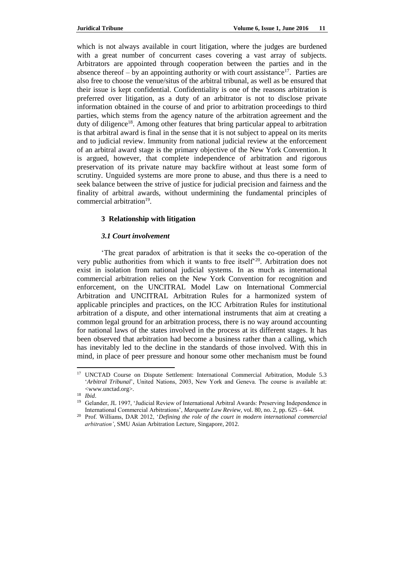which is not always available in court litigation, where the judges are burdened with a great number of concurrent cases covering a vast array of subjects. Arbitrators are appointed through cooperation between the parties and in the absence thereof – by an appointing authority or with court assistance<sup>17</sup>. Parties are also free to choose the venue/situs of the arbitral tribunal, as well as be ensured that their issue is kept confidential. Confidentiality is one of the reasons arbitration is preferred over litigation, as a duty of an arbitrator is not to disclose private information obtained in the course of and prior to arbitration proceedings to third parties, which stems from the agency nature of the arbitration agreement and the duty of diligence<sup>18</sup>. Among other features that bring particular appeal to arbitration is that arbitral award is final in the sense that it is not subject to appeal on its merits and to judicial review. Immunity from national judicial review at the enforcement of an arbitral award stage is the primary objective of the New York Convention. It is argued, however, that complete independence of arbitration and rigorous preservation of its private nature may backfire without at least some form of scrutiny. Unguided systems are more prone to abuse, and thus there is a need to seek balance between the strive of justice for judicial precision and fairness and the finality of arbitral awards, without undermining the fundamental principles of commercial arbitration<sup>19</sup>.

# **3 Relationship with litigation**

# *3.1 Court involvement*

'The great paradox of arbitration is that it seeks the co-operation of the very public authorities from which it wants to free itself<sup>20</sup>. Arbitration does not exist in isolation from national judicial systems. In as much as international commercial arbitration relies on the New York Convention for recognition and enforcement, on the UNCITRAL Model Law on International Commercial Arbitration and UNCITRAL Arbitration Rules for a harmonized system of applicable principles and practices, on the ICC Arbitration Rules for institutional arbitration of a dispute, and other international instruments that aim at creating a common legal ground for an arbitration process, there is no way around accounting for national laws of the states involved in the process at its different stages. It has been observed that arbitration had become a business rather than a calling, which has inevitably led to the decline in the standards of those involved. With this in mind, in place of peer pressure and honour some other mechanism must be found

 $\overline{a}$ <sup>17</sup> UNCTAD Course on Dispute Settlement: International Commercial Arbitration, Module 5.3 '*Arbitral Tribunal*', United Nations, 2003, New York and Geneva. The course is available at: <www.unctad.org>.

<sup>18</sup> *Ibid*.

<sup>19</sup> Gelander, JL 1997, 'Judicial Review of International Arbitral Awards: Preserving Independence in International Commercial Arbitrations', *Marquette Law Review*, vol. 80, no. 2, pp. 625 – 644.

<sup>20</sup> Prof. Williams, DAR 2012, '*Defining the role of the court in modern international commercial arbitration'*, SMU Asian Arbitration Lecture, Singapore, 2012.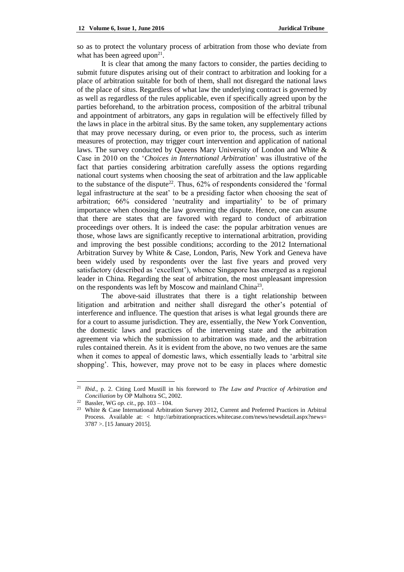so as to protect the voluntary process of arbitration from those who deviate from what has been agreed upon<sup>21</sup>.

It is clear that among the many factors to consider, the parties deciding to submit future disputes arising out of their contract to arbitration and looking for a place of arbitration suitable for both of them, shall not disregard the national laws of the place of situs. Regardless of what law the underlying contract is governed by as well as regardless of the rules applicable, even if specifically agreed upon by the parties beforehand, to the arbitration process, composition of the arbitral tribunal and appointment of arbitrators, any gaps in regulation will be effectively filled by the laws in place in the arbitral situs. By the same token, any supplementary actions that may prove necessary during, or even prior to, the process, such as interim measures of protection, may trigger court intervention and application of national laws. The survey conducted by Queens Mary University of London and White & Case in 2010 on the '*Choices in International Arbitration*' was illustrative of the fact that parties considering arbitration carefully assess the options regarding national court systems when choosing the seat of arbitration and the law applicable to the substance of the dispute<sup>22</sup>. Thus,  $62\%$  of respondents considered the 'formal legal infrastructure at the seat' to be a presiding factor when choosing the seat of arbitration; 66% considered 'neutrality and impartiality' to be of primary importance when choosing the law governing the dispute. Hence, one can assume that there are states that are favored with regard to conduct of arbitration proceedings over others. It is indeed the case: the popular arbitration venues are those, whose laws are significantly receptive to international arbitration, providing and improving the best possible conditions; according to the 2012 International Arbitration Survey by White & Case, London, Paris, New York and Geneva have been widely used by respondents over the last five years and proved very satisfactory (described as 'excellent'), whence Singapore has emerged as a regional leader in China. Regarding the seat of arbitration, the most unpleasant impression on the respondents was left by Moscow and mainland China<sup>23</sup>.

The above-said illustrates that there is a tight relationship between litigation and arbitration and neither shall disregard the other's potential of interference and influence. The question that arises is what legal grounds there are for a court to assume jurisdiction. They are, essentially, the New York Convention, the domestic laws and practices of the intervening state and the arbitration agreement via which the submission to arbitration was made, and the arbitration rules contained therein. As it is evident from the above, no two venues are the same when it comes to appeal of domestic laws, which essentially leads to 'arbitral site shopping'. This, however, may prove not to be easy in places where domestic

<sup>21</sup> *Ibid*., p. 2. Citing Lord Mustill in his foreword to *The Law and Practice of Arbitration and Conciliation* by OP Malhotra SC, 2002.

<sup>22</sup> Bassler, WG *op. cit*., pp. 103 – 104.

<sup>&</sup>lt;sup>23</sup> White & Case International Arbitration Survey 2012, Current and Preferred Practices in Arbitral Process. Available at: < http://arbitrationpractices.whitecase.com/news/newsdetail.aspx?news= 3787 >. [15 January 2015].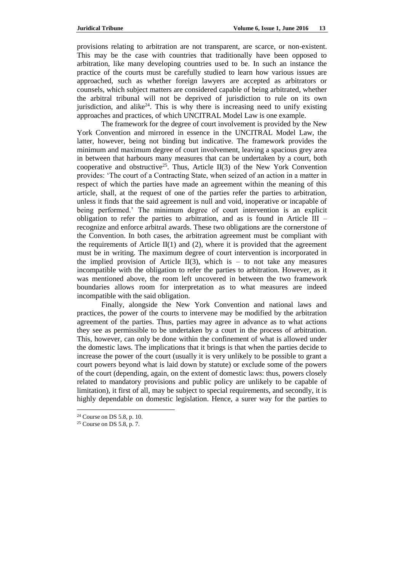provisions relating to arbitration are not transparent, are scarce, or non-existent. This may be the case with countries that traditionally have been opposed to arbitration, like many developing countries used to be. In such an instance the practice of the courts must be carefully studied to learn how various issues are approached, such as whether foreign lawyers are accepted as arbitrators or counsels, which subject matters are considered capable of being arbitrated, whether the arbitral tribunal will not be deprived of jurisdiction to rule on its own jurisdiction, and alike<sup>24</sup>. This is why there is increasing need to unify existing approaches and practices, of which UNCITRAL Model Law is one example.

The framework for the degree of court involvement is provided by the New York Convention and mirrored in essence in the UNCITRAL Model Law, the latter, however, being not binding but indicative. The framework provides the minimum and maximum degree of court involvement, leaving a spacious grey area in between that harbours many measures that can be undertaken by a court, both cooperative and obstructive<sup>25</sup>. Thus, Article II(3) of the New York Convention provides: 'The court of a Contracting State, when seized of an action in a matter in respect of which the parties have made an agreement within the meaning of this article, shall, at the request of one of the parties refer the parties to arbitration, unless it finds that the said agreement is null and void, inoperative or incapable of being performed.' The minimum degree of court intervention is an explicit obligation to refer the parties to arbitration, and as is found in Article III – recognize and enforce arbitral awards. These two obligations are the cornerstone of the Convention. In both cases, the arbitration agreement must be compliant with the requirements of Article  $II(1)$  and (2), where it is provided that the agreement must be in writing. The maximum degree of court intervention is incorporated in the implied provision of Article II(3), which is  $-$  to not take any measures incompatible with the obligation to refer the parties to arbitration. However, as it was mentioned above, the room left uncovered in between the two framework boundaries allows room for interpretation as to what measures are indeed incompatible with the said obligation.

Finally, alongside the New York Convention and national laws and practices, the power of the courts to intervene may be modified by the arbitration agreement of the parties. Thus, parties may agree in advance as to what actions they see as permissible to be undertaken by a court in the process of arbitration. This, however, can only be done within the confinement of what is allowed under the domestic laws. The implications that it brings is that when the parties decide to increase the power of the court (usually it is very unlikely to be possible to grant a court powers beyond what is laid down by statute) or exclude some of the powers of the court (depending, again, on the extent of domestic laws: thus, powers closely related to mandatory provisions and public policy are unlikely to be capable of limitation), it first of all, may be subject to special requirements, and secondly, it is highly dependable on domestic legislation. Hence, a surer way for the parties to

<sup>24</sup> Course on DS 5.8, p. 10.

<sup>25</sup> Course on DS 5.8, p. 7.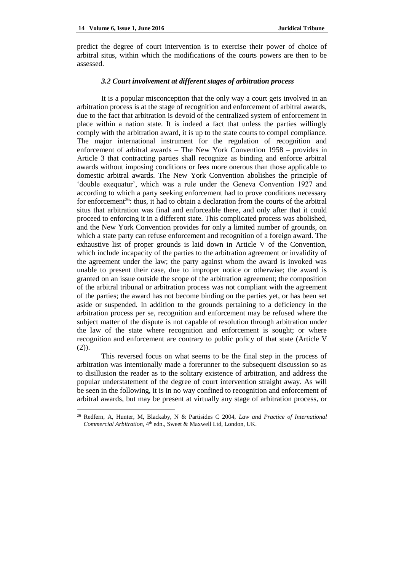$\overline{\phantom{a}}$ 

predict the degree of court intervention is to exercise their power of choice of arbitral situs, within which the modifications of the courts powers are then to be assessed.

## *3.2 Court involvement at different stages of arbitration process*

It is a popular misconception that the only way a court gets involved in an arbitration process is at the stage of recognition and enforcement of arbitral awards, due to the fact that arbitration is devoid of the centralized system of enforcement in place within a nation state. It is indeed a fact that unless the parties willingly comply with the arbitration award, it is up to the state courts to compel compliance. The major international instrument for the regulation of recognition and enforcement of arbitral awards – The New York Convention 1958 – provides in Article 3 that contracting parties shall recognize as binding and enforce arbitral awards without imposing conditions or fees more onerous than those applicable to domestic arbitral awards. The New York Convention abolishes the principle of 'double exequatur', which was a rule under the Geneva Convention 1927 and according to which a party seeking enforcement had to prove conditions necessary for enforcement<sup>26</sup>: thus, it had to obtain a declaration from the courts of the arbitral situs that arbitration was final and enforceable there, and only after that it could proceed to enforcing it in a different state. This complicated process was abolished, and the New York Convention provides for only a limited number of grounds, on which a state party can refuse enforcement and recognition of a foreign award. The exhaustive list of proper grounds is laid down in Article V of the Convention, which include incapacity of the parties to the arbitration agreement or invalidity of the agreement under the law; the party against whom the award is invoked was unable to present their case, due to improper notice or otherwise; the award is granted on an issue outside the scope of the arbitration agreement; the composition of the arbitral tribunal or arbitration process was not compliant with the agreement of the parties; the award has not become binding on the parties yet, or has been set aside or suspended. In addition to the grounds pertaining to a deficiency in the arbitration process per se, recognition and enforcement may be refused where the subject matter of the dispute is not capable of resolution through arbitration under the law of the state where recognition and enforcement is sought; or where recognition and enforcement are contrary to public policy of that state (Article V  $(2)$ ).

This reversed focus on what seems to be the final step in the process of arbitration was intentionally made a forerunner to the subsequent discussion so as to disillusion the reader as to the solitary existence of arbitration, and address the popular understatement of the degree of court intervention straight away. As will be seen in the following, it is in no way confined to recognition and enforcement of arbitral awards, but may be present at virtually any stage of arbitration process, or

<sup>26</sup> Redfern, A, Hunter, M, Blackaby, N & Partisides C 2004, *Law and Practice of International Commercial Arbitration*, 4th edn., Sweet & Maxwell Ltd, London, UK.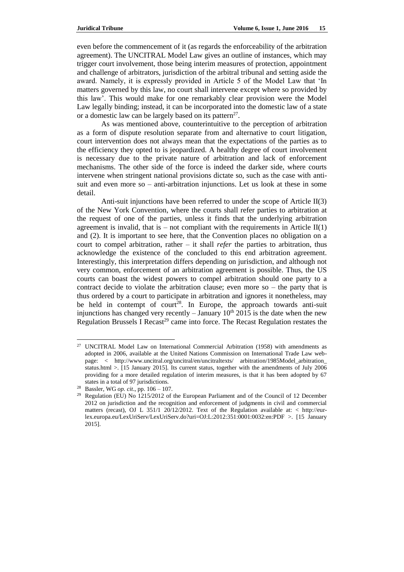even before the commencement of it (as regards the enforceability of the arbitration agreement). The UNCITRAL Model Law gives an outline of instances, which may trigger court involvement, those being interim measures of protection, appointment and challenge of arbitrators, jurisdiction of the arbitral tribunal and setting aside the award. Namely, it is expressly provided in Article 5 of the Model Law that 'In matters governed by this law, no court shall intervene except where so provided by this law'. This would make for one remarkably clear provision were the Model Law legally binding; instead, it can be incorporated into the domestic law of a state or a domestic law can be largely based on its pattern<sup>27</sup>.

As was mentioned above, counterintuitive to the perception of arbitration as a form of dispute resolution separate from and alternative to court litigation, court intervention does not always mean that the expectations of the parties as to the efficiency they opted to is jeopardized. A healthy degree of court involvement is necessary due to the private nature of arbitration and lack of enforcement mechanisms. The other side of the force is indeed the darker side, where courts intervene when stringent national provisions dictate so, such as the case with antisuit and even more so – anti-arbitration injunctions. Let us look at these in some detail.

Anti-suit injunctions have been referred to under the scope of Article II(3) of the New York Convention, where the courts shall refer parties to arbitration at the request of one of the parties, unless it finds that the underlying arbitration agreement is invalid, that is – not compliant with the requirements in Article  $II(1)$ and (2). It is important to see here, that the Convention places no obligation on a court to compel arbitration, rather – it shall *refer* the parties to arbitration, thus acknowledge the existence of the concluded to this end arbitration agreement. Interestingly, this interpretation differs depending on jurisdiction, and although not very common, enforcement of an arbitration agreement is possible. Thus, the US courts can boast the widest powers to compel arbitration should one party to a contract decide to violate the arbitration clause; even more so  $-$  the party that is thus ordered by a court to participate in arbitration and ignores it nonetheless, may be held in contempt of court<sup>28</sup>. In Europe, the approach towards anti-suit injunctions has changed very recently  $-$  January 10<sup>th</sup> 2015 is the date when the new Regulation Brussels I Recast<sup>29</sup> came into force. The Recast Regulation restates the

<sup>&</sup>lt;sup>27</sup> UNCITRAL Model Law on International Commercial Arbitration (1958) with amendments as adopted in 2006, available at the United Nations Commission on International Trade Law webpage: < http://www.uncitral.org/uncitral/en/uncitraltexts/ arbitration/1985Model\_arbitration\_ status.html >. [15 January 2015]. Its current status, together with the amendments of July 2006 providing for a more detailed regulation of interim measures, is that it has been adopted by 67 states in a total of 97 jurisdictions.

<sup>28</sup> Bassler, WG *op. cit*., pp. 106 – 107.

<sup>&</sup>lt;sup>29</sup> Regulation (EU) No 1215/2012 of the European Parliament and of the Council of 12 December 2012 on jurisdiction and the recognition and enforcement of judgments in civil and commercial matters (recast), OJ L 351/1 20/12/2012. Text of the Regulation available at:  $\lt$  http://eurlex.europa.eu/LexUriServ/LexUriServ.do?uri=OJ:L:2012:351:0001:0032:en:PDF >. [15 January 2015].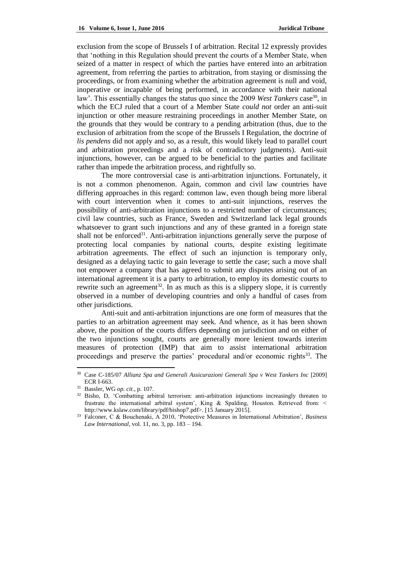exclusion from the scope of Brussels I of arbitration. Recital 12 expressly provides that 'nothing in this Regulation should prevent the courts of a Member State, when seized of a matter in respect of which the parties have entered into an arbitration agreement, from referring the parties to arbitration, from staying or dismissing the proceedings, or from examining whether the arbitration agreement is null and void, inoperative or incapable of being performed, in accordance with their national law'. This essentially changes the status quo since the 2009 *West Tankers* case<sup>30</sup>, in which the ECJ ruled that a court of a Member State *could not* order an anti-suit injunction or other measure restraining proceedings in another Member State, on the grounds that they would be contrary to a pending arbitration (thus, due to the exclusion of arbitration from the scope of the Brussels I Regulation, the doctrine of *lis pendens* did not apply and so, as a result, this would likely lead to parallel court and arbitration proceedings and a risk of contradictory judgments). Anti-suit injunctions, however, can be argued to be beneficial to the parties and facilitate rather than impede the arbitration process, and rightfully so.

The more controversial case is anti-arbitration injunctions. Fortunately, it is not a common phenomenon. Again, common and civil law countries have differing approaches in this regard: common law, even though being more liberal with court intervention when it comes to anti-suit injunctions, reserves the possibility of anti-arbitration injunctions to a restricted number of circumstances; civil law countries, such as France, Sweden and Switzerland lack legal grounds whatsoever to grant such injunctions and any of these granted in a foreign state shall not be enforced $31$ . Anti-arbitration injunctions generally serve the purpose of protecting local companies by national courts, despite existing legitimate arbitration agreements. The effect of such an injunction is temporary only, designed as a delaying tactic to gain leverage to settle the case; such a move shall not empower a company that has agreed to submit any disputes arising out of an international agreement it is a party to arbitration, to employ its domestic courts to rewrite such an agreement<sup>32</sup>. In as much as this is a slippery slope, it is currently observed in a number of developing countries and only a handful of cases from other jurisdictions.

Anti-suit and anti-arbitration injunctions are one form of measures that the parties to an arbitration agreement may seek. And whence, as it has been shown above, the position of the courts differs depending on jurisdiction and on either of the two injunctions sought, courts are generally more lenient towards interim measures of protection (IMP) that aim to assist international arbitration proceedings and preserve the parties' procedural and/or economic rights<sup>33</sup>. The

<sup>30</sup> Case C-185/07 *Allianz Spa and Generali Assicurazioni Generali Spa v West Tankers Inc* [2009] ECR I-663.

<sup>31</sup> Bassler, WG *op. cit*., p. 107.

<sup>&</sup>lt;sup>32</sup> Bisho, D, 'Combatting arbitral terrorism: anti-arbitration injunctions increasingly threaten to frustrate the international arbitral system', King & Spalding, Houston. Retrieved from: < http://www.kslaw.com/library/pdf/bishop7.pdf>. [15 January 2015].

<sup>33</sup> Falconer, C & Bouchenaki, A 2010, 'Protective Measures in International Arbitration', *Business Law International*, vol. 11, no. 3, pp. 183 – 194.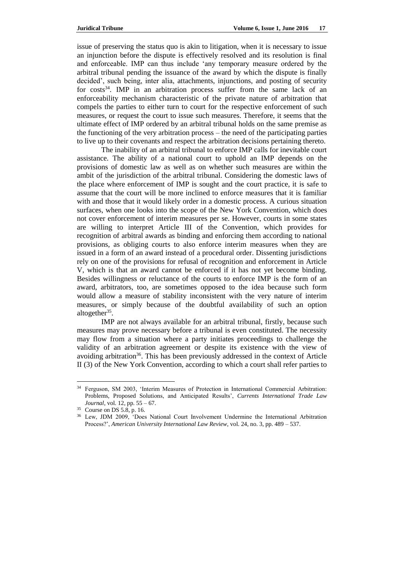issue of preserving the status quo is akin to litigation, when it is necessary to issue an injunction before the dispute is effectively resolved and its resolution is final and enforceable. IMP can thus include 'any temporary measure ordered by the arbitral tribunal pending the issuance of the award by which the dispute is finally decided', such being, inter alia, attachments, injunctions, and posting of security for costs<sup>34</sup>. IMP in an arbitration process suffer from the same lack of an enforceability mechanism characteristic of the private nature of arbitration that compels the parties to either turn to court for the respective enforcement of such measures, or request the court to issue such measures. Therefore, it seems that the ultimate effect of IMP ordered by an arbitral tribunal holds on the same premise as the functioning of the very arbitration process – the need of the participating parties to live up to their covenants and respect the arbitration decisions pertaining thereto.

The inability of an arbitral tribunal to enforce IMP calls for inevitable court assistance. The ability of a national court to uphold an IMP depends on the provisions of domestic law as well as on whether such measures are within the ambit of the jurisdiction of the arbitral tribunal. Considering the domestic laws of the place where enforcement of IMP is sought and the court practice, it is safe to assume that the court will be more inclined to enforce measures that it is familiar with and those that it would likely order in a domestic process. A curious situation surfaces, when one looks into the scope of the New York Convention, which does not cover enforcement of interim measures per se. However, courts in some states are willing to interpret Article III of the Convention, which provides for recognition of arbitral awards as binding and enforcing them according to national provisions, as obliging courts to also enforce interim measures when they are issued in a form of an award instead of a procedural order. Dissenting jurisdictions rely on one of the provisions for refusal of recognition and enforcement in Article V, which is that an award cannot be enforced if it has not yet become binding. Besides willingness or reluctance of the courts to enforce IMP is the form of an award, arbitrators, too, are sometimes opposed to the idea because such form would allow a measure of stability inconsistent with the very nature of interim measures, or simply because of the doubtful availability of such an option altogether<sup>35</sup>.

IMP are not always available for an arbitral tribunal, firstly, because such measures may prove necessary before a tribunal is even constituted. The necessity may flow from a situation where a party initiates proceedings to challenge the validity of an arbitration agreement or despite its existence with the view of avoiding arbitration<sup>36</sup>. This has been previously addressed in the context of Article II (3) of the New York Convention, according to which a court shall refer parties to

<sup>34</sup> Ferguson, SM 2003, 'Interim Measures of Protection in International Commercial Arbitration: Problems, Proposed Solutions, and Anticipated Results', *Currents International Trade Law Journal*, vol. 12, pp. 55 – 67.

<sup>35</sup> Course on DS 5.8, p. 16.

<sup>36</sup> Lew, JDM 2009, 'Does National Court Involvement Undermine the International Arbitration Process?', *American University International Law Review*, vol. 24, no. 3, pp. 489 – 537.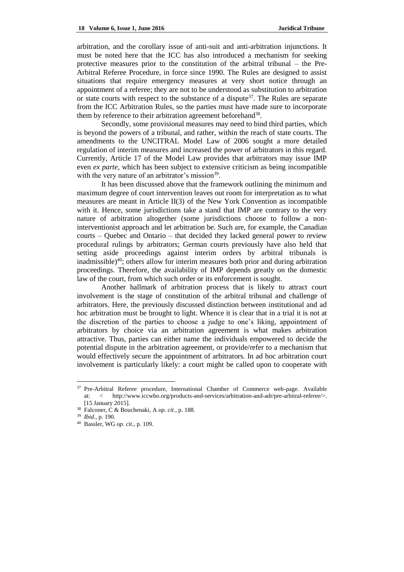arbitration, and the corollary issue of anti-suit and anti-arbitration injunctions. It must be noted here that the ICC has also introduced a mechanism for seeking protective measures prior to the constitution of the arbitral tribunal – the Pre-Arbitral Referee Procedure, in force since 1990. The Rules are designed to assist situations that require emergency measures at very short notice through an appointment of a referee; they are not to be understood as substitution to arbitration or state courts with respect to the substance of a dispute  $37$ . The Rules are separate from the ICC Arbitration Rules, so the parties must have made sure to incorporate them by reference to their arbitration agreement beforehand<sup>38</sup>.

Secondly, some provisional measures may need to bind third parties, which is beyond the powers of a tribunal, and rather, within the reach of state courts. The amendments to the UNCITRAL Model Law of 2006 sought a more detailed regulation of interim measures and increased the power of arbitrators in this regard. Currently, Article 17 of the Model Law provides that arbitrators may issue IMP even *ex parte*, which has been subject to extensive criticism as being incompatible with the very nature of an arbitrator's mission<sup>39</sup>.

It has been discussed above that the framework outlining the minimum and maximum degree of court intervention leaves out room for interpretation as to what measures are meant in Article II(3) of the New York Convention as incompatible with it. Hence, some jurisdictions take a stand that IMP are contrary to the very nature of arbitration altogether (some jurisdictions choose to follow a noninterventionist approach and let arbitration be. Such are, for example, the Canadian courts – Quebec and Ontario – that decided they lacked general power to review procedural rulings by arbitrators; German courts previously have also held that setting aside proceedings against interim orders by arbitral tribunals is inadmissible) $40$ ; others allow for interim measures both prior and during arbitration proceedings. Therefore, the availability of IMP depends greatly on the domestic law of the court, from which such order or its enforcement is sought.

Another hallmark of arbitration process that is likely to attract court involvement is the stage of constitution of the arbitral tribunal and challenge of arbitrators. Here, the previously discussed distinction between institutional and ad hoc arbitration must be brought to light. Whence it is clear that in a trial it is not at the discretion of the parties to choose a judge to one's liking, appointment of arbitrators by choice via an arbitration agreement is what makes arbitration attractive. Thus, parties can either name the individuals empowered to decide the potential dispute in the arbitration agreement, or provide/refer to a mechanism that would effectively secure the appointment of arbitrators. In ad hoc arbitration court involvement is particularly likely: a court might be called upon to cooperate with

<sup>&</sup>lt;sup>37</sup> Pre-Arbitral Referee procedure, International Chamber of Commerce web-page. Available at: < http://www.iccwbo.org/products-and-services/arbitration-and-adr/pre-arbitral-referee/>. [15 January 2015].

<sup>38</sup> Falconer, C & Bouchenaki, A *op. cit*., p. 188.

<sup>39</sup> *Ibid*., p. 190.

<sup>40</sup> Bassler, WG *op. cit*., p. 109.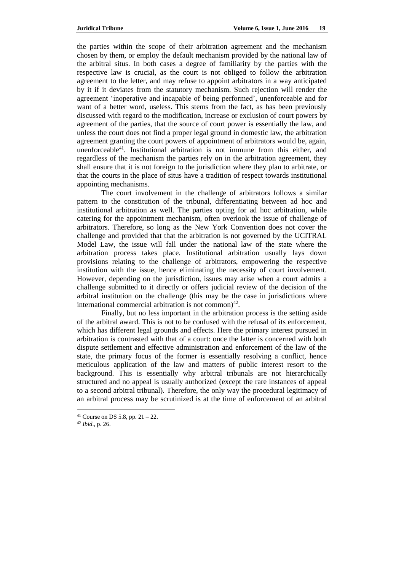the parties within the scope of their arbitration agreement and the mechanism chosen by them, or employ the default mechanism provided by the national law of the arbitral situs. In both cases a degree of familiarity by the parties with the respective law is crucial, as the court is not obliged to follow the arbitration agreement to the letter, and may refuse to appoint arbitrators in a way anticipated by it if it deviates from the statutory mechanism. Such rejection will render the agreement 'inoperative and incapable of being performed', unenforceable and for want of a better word, useless. This stems from the fact, as has been previously discussed with regard to the modification, increase or exclusion of court powers by agreement of the parties, that the source of court power is essentially the law, and unless the court does not find a proper legal ground in domestic law, the arbitration agreement granting the court powers of appointment of arbitrators would be, again, unenforceable<sup>41</sup>. Institutional arbitration is not immune from this either, and regardless of the mechanism the parties rely on in the arbitration agreement, they shall ensure that it is not foreign to the jurisdiction where they plan to arbitrate, or that the courts in the place of situs have a tradition of respect towards institutional appointing mechanisms.

The court involvement in the challenge of arbitrators follows a similar pattern to the constitution of the tribunal, differentiating between ad hoc and institutional arbitration as well. The parties opting for ad hoc arbitration, while catering for the appointment mechanism, often overlook the issue of challenge of arbitrators. Therefore, so long as the New York Convention does not cover the challenge and provided that that the arbitration is not governed by the UCITRAL Model Law, the issue will fall under the national law of the state where the arbitration process takes place. Institutional arbitration usually lays down provisions relating to the challenge of arbitrators, empowering the respective institution with the issue, hence eliminating the necessity of court involvement. However, depending on the jurisdiction, issues may arise when a court admits a challenge submitted to it directly or offers judicial review of the decision of the arbitral institution on the challenge (this may be the case in jurisdictions where international commercial arbitration is not common) $^{42}$ .

Finally, but no less important in the arbitration process is the setting aside of the arbitral award. This is not to be confused with the refusal of its enforcement, which has different legal grounds and effects. Here the primary interest pursued in arbitration is contrasted with that of a court: once the latter is concerned with both dispute settlement and effective administration and enforcement of the law of the state, the primary focus of the former is essentially resolving a conflict, hence meticulous application of the law and matters of public interest resort to the background. This is essentially why arbitral tribunals are not hierarchically structured and no appeal is usually authorized (except the rare instances of appeal to a second arbitral tribunal). Therefore, the only way the procedural legitimacy of an arbitral process may be scrutinized is at the time of enforcement of an arbitral

<sup>&</sup>lt;sup>41</sup> Course on DS 5.8, pp.  $21 - 22$ .

<sup>42</sup> *Ibid*., p. 26.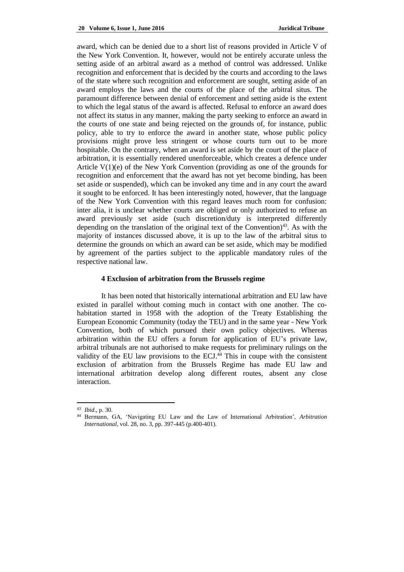award, which can be denied due to a short list of reasons provided in Article V of the New York Convention. It, however, would not be entirely accurate unless the setting aside of an arbitral award as a method of control was addressed. Unlike recognition and enforcement that is decided by the courts and according to the laws of the state where such recognition and enforcement are sought, setting aside of an award employs the laws and the courts of the place of the arbitral situs. The paramount difference between denial of enforcement and setting aside is the extent to which the legal status of the award is affected. Refusal to enforce an award does not affect its status in any manner, making the party seeking to enforce an award in the courts of one state and being rejected on the grounds of, for instance, public policy, able to try to enforce the award in another state, whose public policy provisions might prove less stringent or whose courts turn out to be more hospitable. On the contrary, when an award is set aside by the court of the place of arbitration, it is essentially rendered unenforceable, which creates a defence under Article V(1)(e) of the New York Convention (providing as one of the grounds for recognition and enforcement that the award has not yet become binding, has been set aside or suspended), which can be invoked any time and in any court the award it sought to be enforced. It has been interestingly noted, however, that the language of the New York Convention with this regard leaves much room for confusion: inter alia, it is unclear whether courts are obliged or only authorized to refuse an award previously set aside (such discretion/duty is interpreted differently depending on the translation of the original text of the Convention<sup>43</sup>. As with the majority of instances discussed above, it is up to the law of the arbitral situs to determine the grounds on which an award can be set aside, which may be modified by agreement of the parties subject to the applicable mandatory rules of the respective national law.

# **4 Exclusion of arbitration from the Brussels regime**

It has been noted that historically international arbitration and EU law have existed in parallel without coming much in contact with one another. The cohabitation started in 1958 with the adoption of the Treaty Establishing the European Economic Community (today the TEU) and in the same year - New York Convention, both of which pursued their own policy objectives. Whereas arbitration within the EU offers a forum for application of EU's private law, arbitral tribunals are not authorised to make requests for preliminary rulings on the validity of the EU law provisions to the ECJ. $^{44}$  This in coupe with the consistent exclusion of arbitration from the Brussels Regime has made EU law and international arbitration develop along different routes, absent any close interaction.

<sup>43</sup> *Ibid*., p. 30.

<sup>44</sup> Bermann, GA, 'Navigating EU Law and the Law of International Arbitration', *Arbitration International*, vol. 28, no. 3, pp. 397-445 (p.400-401).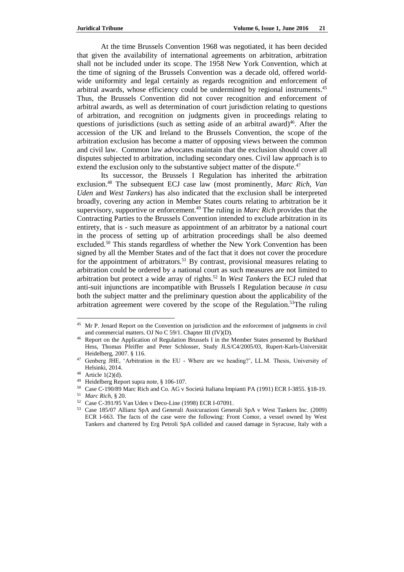At the time Brussels Convention 1968 was negotiated, it has been decided that given the availability of international agreements on arbitration, arbitration shall not be included under its scope. The 1958 New York Convention, which at the time of signing of the Brussels Convention was a decade old, offered worldwide uniformity and legal certainly as regards recognition and enforcement of arbitral awards, whose efficiency could be undermined by regional instruments.<sup>45</sup> Thus, the Brussels Convention did not cover recognition and enforcement of arbitral awards, as well as determination of court jurisdiction relating to questions of arbitration, and recognition on judgments given in proceedings relating to questions of jurisdictions (such as setting aside of an arbitral award) $46$ . After the accession of the UK and Ireland to the Brussels Convention, the scope of the arbitration exclusion has become a matter of opposing views between the common and civil law. Common law advocates maintain that the exclusion should cover all disputes subjected to arbitration, including secondary ones. Civil law approach is to extend the exclusion only to the substantive subject matter of the dispute.<sup>47</sup>

Its successor, the Brussels I Regulation has inherited the arbitration exclusion.<sup>48</sup> The subsequent ECJ case law (most prominently, *Marc Rich*, *Van Uden* and *West Tankers*) has also indicated that the exclusion shall be interpreted broadly, covering any action in Member States courts relating to arbitration be it supervisory, supportive or enforcement.<sup>49</sup> The ruling in *Marc Rich* provides that the Contracting Parties to the Brussels Convention intended to exclude arbitration in its entirety, that is - such measure as appointment of an arbitrator by a national court in the process of setting up of arbitration proceedings shall be also deemed excluded.<sup>50</sup> This stands regardless of whether the New York Convention has been signed by all the Member States and of the fact that it does not cover the procedure for the appointment of arbitrators.<sup>51</sup> By contrast, provisional measures relating to arbitration could be ordered by a national court as such measures are not limited to arbitration but protect a wide array of rights.<sup>52</sup> In *West Tankers* the ECJ ruled that anti-suit injunctions are incompatible with Brussels I Regulation because *in casu* both the subject matter and the preliminary question about the applicability of the arbitration agreement were covered by the scope of the Regulation.<sup>53</sup>The ruling

<sup>&</sup>lt;sup>45</sup> Mr P. Jenard Report on the Convention on jurisdiction and the enforcement of judgments in civil and commercial matters. OJ No C 59/1. Chapter III (IV)(D).

<sup>&</sup>lt;sup>46</sup> Report on the Application of Regulation Brussels I in the Member States presented by Burkhard Hess, Thomas Pfeiffer and Peter Schlosser, Study JLS/C4/2005/03, Rupert-Karls-Universität Heidelberg, 2007. § 116.

<sup>47</sup> Genberg JHE, 'Arbitration in the EU - Where are we heading?', LL.M. Thesis, University of Helsinki, 2014.

 $48$  Article 1(2)(d).

<sup>49</sup> Heidelberg Report supra note, § 106-107.

<sup>50</sup> Case C-190/89 Marc Rich and Co. AG v Società Italiana Impianti PA (1991) ECR I-3855. §18-19.

<sup>51</sup> *Marc Rich*, § 20.

<sup>52</sup> Case C-391/95 Van Uden v Deco-Line (1998) ECR I-07091.

<sup>53</sup> Case 185/07 Allianz SpA and Generali Assicurazioni Generali SpA v West Tankers Inc. (2009) ECR I-663. The facts of the case were the following: Front Comor, a vessel owned by West Tankers and chartered by Erg Petroli SpA collided and caused damage in Syracuse, Italy with a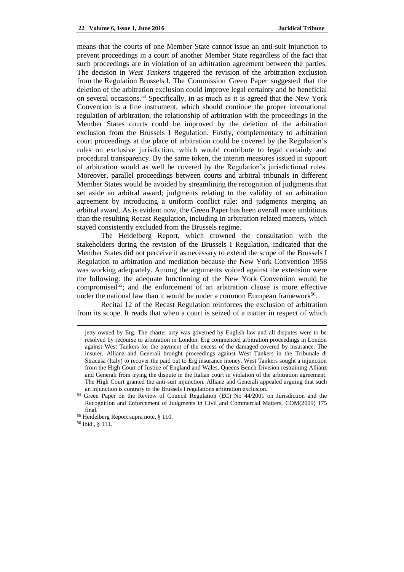means that the courts of one Member State cannot issue an anti-suit injunction to prevent proceedings in a court of another Member State regardless of the fact that such proceedings are in violation of an arbitration agreement between the parties. The decision in *West Tankers* triggered the revision of the arbitration exclusion from the Regulation Brussels I. The Commission Green Paper suggested that the deletion of the arbitration exclusion could improve legal certainty and be beneficial on several occasions.<sup>54</sup> Specifically, in as much as it is agreed that the New York Convention is a fine instrument, which should continue the proper international regulation of arbitration, the relationship of arbitration with the proceedings in the Member States courts could be improved by the deletion of the arbitration exclusion from the Brussels I Regulation. Firstly, complementary to arbitration court proceedings at the place of arbitration could be covered by the Regulation's rules on exclusive jurisdiction, which would contribute to legal certainly and procedural transparency. By the same token, the interim measures issued in support of arbitration would as well be covered by the Regulation's jurisdictional rules. Moreover, parallel proceedings between courts and arbitral tribunals in different Member States would be avoided by streamlining the recognition of judgments that set aside an arbitral award; judgments relating to the validity of an arbitration agreement by introducing a uniform conflict rule; and judgments merging an arbitral award. As is evident now, the Green Paper has been overall more ambitious than the resulting Recast Regulation, including in arbitration related matters, which stayed consistently excluded from the Brussels regime.

The Heidelberg Report, which crowned the consultation with the stakeholders during the revision of the Brussels I Regulation, indicated that the Member States did not perceive it as necessary to extend the scope of the Brussels I Regulation to arbitration and mediation because the New York Convention 1958 was working adequately. Among the arguments voiced against the extension were the following: the adequate functioning of the New York Convention would be compromised<sup>55</sup>; and the enforcement of an arbitration clause is more effective under the national law than it would be under a common European framework<sup>56</sup>.

Recital 12 of the Recast Regulation reinforces the exclusion of arbitration from its scope. It reads that when a court is seized of a matter in respect of which

jetty owned by Erg. The charter arty was governed by English law and all disputes were to be resolved by recourse to arbitration in London. Erg commenced arbitration proceedings in London against West Tankers for the payment of the excess of the damaged covered by insurance. The insurer, Allianz and Generali brought proceedings against West Tankers in the Tribunale di Siracusa (Italy) to recover the paid out to Erg insurance money. West Tankers sought a injunction from the High Court of Justice of England and Wales, Queens Bench Division restraining Allianz and Generali from trying the dispute in the Italian court in violation of the arbitration agreement. The High Court granted the anti-suit injunction. Allianz and Generali appealed arguing that such an injunction is contrary to the Brussels I regulations arbitration exclusion.

<sup>54</sup> Green Paper on the Review of Council Regulation (EC) No 44/2001 on Jurisdiction and the Recognition and Enforcement of Judgments in Civil and Commercial Matters, COM(2009) 175 final.

<sup>55</sup> Heidelberg Report supra note, § 110.

<sup>56</sup> Ibid., § 111.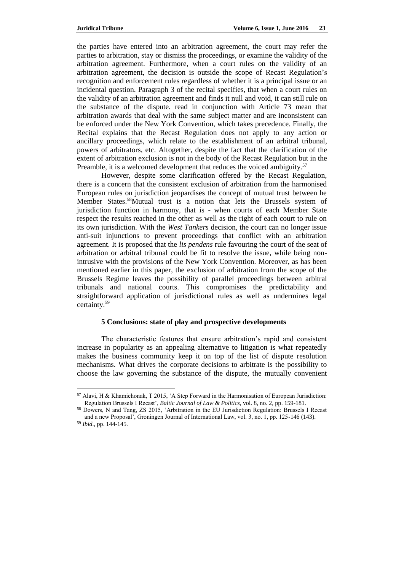the parties have entered into an arbitration agreement, the court may refer the parties to arbitration, stay or dismiss the proceedings, or examine the validity of the arbitration agreement. Furthermore, when a court rules on the validity of an arbitration agreement, the decision is outside the scope of Recast Regulation's recognition and enforcement rules regardless of whether it is a principal issue or an incidental question. Paragraph 3 of the recital specifies, that when a court rules on the validity of an arbitration agreement and finds it null and void, it can still rule on the substance of the dispute. read in conjunction with Article 73 mean that arbitration awards that deal with the same subject matter and are inconsistent can be enforced under the New York Convention, which takes precedence. Finally, the Recital explains that the Recast Regulation does not apply to any action or ancillary proceedings, which relate to the establishment of an arbitral tribunal, powers of arbitrators, etc. Altogether, despite the fact that the clarification of the extent of arbitration exclusion is not in the body of the Recast Regulation but in the Preamble, it is a welcomed development that reduces the voiced ambiguity.<sup>57</sup>

However, despite some clarification offered by the Recast Regulation, there is a concern that the consistent exclusion of arbitration from the harmonised European rules on jurisdiction jeopardises the concept of mutual trust between he Member States.<sup>58</sup>Mutual trust is a notion that lets the Brussels system of jurisdiction function in harmony, that is - when courts of each Member State respect the results reached in the other as well as the right of each court to rule on its own jurisdiction. With the *West Tankers* decision, the court can no longer issue anti-suit injunctions to prevent proceedings that conflict with an arbitration agreement. It is proposed that the *lis pendens* rule favouring the court of the seat of arbitration or arbitral tribunal could be fit to resolve the issue, while being nonintrusive with the provisions of the New York Convention. Moreover, as has been mentioned earlier in this paper, the exclusion of arbitration from the scope of the Brussels Regime leaves the possibility of parallel proceedings between arbitral tribunals and national courts. This compromises the predictability and straightforward application of jurisdictional rules as well as undermines legal certainty.<sup>59</sup>

# **5 Conclusions: state of play and prospective developments**

The characteristic features that ensure arbitration's rapid and consistent increase in popularity as an appealing alternative to litigation is what repeatedly makes the business community keep it on top of the list of dispute resolution mechanisms. What drives the corporate decisions to arbitrate is the possibility to choose the law governing the substance of the dispute, the mutually convenient

<sup>57</sup> Alavi, H & Khamichonak, T 2015, 'A Step Forward in the Harmonisation of European Jurisdiction: Regulation Brussels I Recast', *Baltic Journal of Law & Politics*, vol. 8, no. 2, pp. 159-181.

<sup>58</sup> Dowers, N and Tang, ZS 2015, 'Arbitration in the EU Jurisdiction Regulation: Brussels I Recast and a new Proposal', Groningen Journal of International Law, vol. 3, no. 1, pp. 125-146 (143).

<sup>59</sup> *Ibid*., pp. 144-145.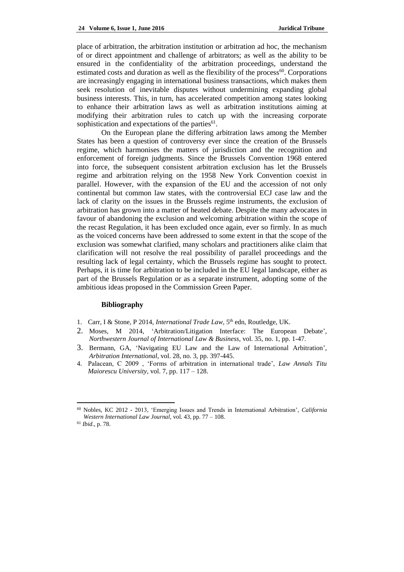place of arbitration, the arbitration institution or arbitration ad hoc, the mechanism of or direct appointment and challenge of arbitrators; as well as the ability to be ensured in the confidentiality of the arbitration proceedings, understand the estimated costs and duration as well as the flexibility of the process<sup>60</sup>. Corporations are increasingly engaging in international business transactions, which makes them seek resolution of inevitable disputes without undermining expanding global business interests. This, in turn, has accelerated competition among states looking to enhance their arbitration laws as well as arbitration institutions aiming at modifying their arbitration rules to catch up with the increasing corporate sophistication and expectations of the parties $^{61}$ .

On the European plane the differing arbitration laws among the Member States has been a question of controversy ever since the creation of the Brussels regime, which harmonises the matters of jurisdiction and the recognition and enforcement of foreign judgments. Since the Brussels Convention 1968 entered into force, the subsequent consistent arbitration exclusion has let the Brussels regime and arbitration relying on the 1958 New York Convention coexist in parallel. However, with the expansion of the EU and the accession of not only continental but common law states, with the controversial ECJ case law and the lack of clarity on the issues in the Brussels regime instruments, the exclusion of arbitration has grown into a matter of heated debate. Despite the many advocates in favour of abandoning the exclusion and welcoming arbitration within the scope of the recast Regulation, it has been excluded once again, ever so firmly. In as much as the voiced concerns have been addressed to some extent in that the scope of the exclusion was somewhat clarified, many scholars and practitioners alike claim that clarification will not resolve the real possibility of parallel proceedings and the resulting lack of legal certainty, which the Brussels regime has sought to protect. Perhaps, it is time for arbitration to be included in the EU legal landscape, either as part of the Brussels Regulation or as a separate instrument, adopting some of the ambitious ideas proposed in the Commission Green Paper.

### **Bibliography**

- 1. Carr, I & Stone, P 2014, *International Trade Law*, 5<sup>th</sup> edn, Routledge, UK.
- 2. Moses, M 2014, 'Arbitration/Litigation Interface: The European Debate', *Northwestern Journal of International Law & Business*, vol. 35, no. 1, pp. 1-47.
- 3. Bermann, GA, 'Navigating EU Law and the Law of International Arbitration', *Arbitration International*, vol. 28, no. 3, pp. 397-445.
- 4. Palacean, C 2009 , 'Forms of arbitration in international trade', *Law Annals Titu Maiorescu University*, vol. 7, pp. 117 – 128.

<sup>60</sup> Nobles, KC 2012 - 2013, 'Emerging Issues and Trends in International Arbitration', *California Western International Law Journal*, vol. 43, pp. 77 – 108.

<sup>61</sup> *Ibid*., p. 78.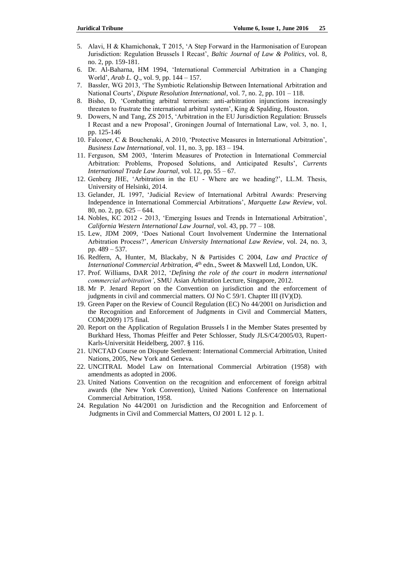- 5. Alavi, H & Khamichonak, T 2015, 'A Step Forward in the Harmonisation of European Jurisdiction: Regulation Brussels I Recast', *Baltic Journal of Law & Politics*, vol. 8, no. 2, pp. 159-181.
- 6. Dr. Al-Baharna, HM 1994, 'International Commercial Arbitration in a Changing World', *Arab L. Q*., vol. 9, pp. 144 – 157.
- 7. Bassler, WG 2013, 'The Symbiotic Relationship Between International Arbitration and National Courts', *Dispute Resolution International*, vol. 7, no. 2, pp. 101 – 118.
- 8. Bisho, D, 'Combatting arbitral terrorism: anti-arbitration injunctions increasingly threaten to frustrate the international arbitral system', King & Spalding, Houston.
- 9. Dowers, N and Tang, ZS 2015, 'Arbitration in the EU Jurisdiction Regulation: Brussels I Recast and a new Proposal', Groningen Journal of International Law, vol. 3, no. 1, pp. 125-146
- 10. Falconer, C & Bouchenaki, A 2010, 'Protective Measures in International Arbitration', *Business Law International*, vol. 11, no. 3, pp. 183 – 194.
- 11. Ferguson, SM 2003, 'Interim Measures of Protection in International Commercial Arbitration: Problems, Proposed Solutions, and Anticipated Results', *Currents International Trade Law Journal*, vol. 12, pp. 55 – 67.
- 12. Genberg JHE, 'Arbitration in the EU Where are we heading?', LL.M. Thesis, University of Helsinki, 2014.
- 13. Gelander, JL 1997, 'Judicial Review of International Arbitral Awards: Preserving Independence in International Commercial Arbitrations', *Marquette Law Review*, vol. 80, no. 2, pp. 625 – 644.
- 14. Nobles, KC 2012 2013, 'Emerging Issues and Trends in International Arbitration', *California Western International Law Journal*, vol. 43, pp. 77 – 108.
- 15. Lew, JDM 2009, 'Does National Court Involvement Undermine the International Arbitration Process?', *American University International Law Review*, vol. 24, no. 3, pp. 489 – 537.
- 16. Redfern, A, Hunter, M, Blackaby, N & Partisides C 2004, *Law and Practice of International Commercial Arbitration*, 4<sup>th</sup> edn., Sweet & Maxwell Ltd, London, UK.
- 17. Prof. Williams, DAR 2012, '*Defining the role of the court in modern international commercial arbitration'*, SMU Asian Arbitration Lecture, Singapore, 2012.
- 18. Mr P. Jenard Report on the Convention on jurisdiction and the enforcement of judgments in civil and commercial matters. OJ No C 59/1. Chapter III (IV)(D).
- 19. Green Paper on the Review of Council Regulation (EC) No 44/2001 on Jurisdiction and the Recognition and Enforcement of Judgments in Civil and Commercial Matters, COM(2009) 175 final.
- 20. Report on the Application of Regulation Brussels I in the Member States presented by Burkhard Hess, Thomas Pfeiffer and Peter Schlosser, Study JLS/C4/2005/03, Rupert-Karls-Universität Heidelberg, 2007. § 116.
- 21. UNCTAD Course on Dispute Settlement: International Commercial Arbitration, United Nations, 2005, New York and Geneva.
- 22. UNCITRAL Model Law on International Commercial Arbitration (1958) with amendments as adopted in 2006.
- 23. United Nations Convention on the recognition and enforcement of foreign arbitral awards (the New York Convention), United Nations Conference on International Commercial Arbitration, 1958.
- 24. Regulation No 44/2001 on Jurisdiction and the Recognition and Enforcement of Judgments in Civil and Commercial Matters, OJ 2001 L 12 p. 1.